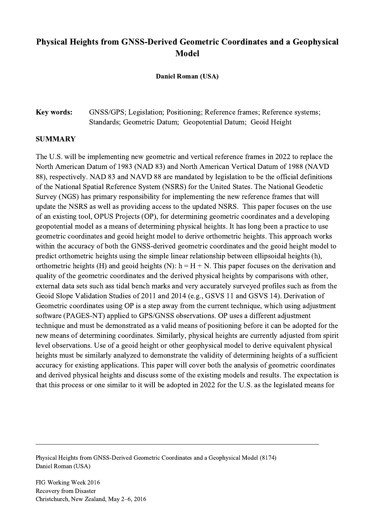## Physical Heights from GNSS-Derived Geometric Coordinates and a Geophysical Model

Daniel Roman (USA)

## Key words: GNSS/GPS; Legislation; Positioning; Reference frames; Reference systems; Standards; Geometric Datum; Geopotential Datum; Geoid Height

## **SUMMARY**

The U.S. will be implementing new geometric and vertical reference frames in 2022 to replace the North American Datum of 1983 (NAD 83) and North American Vertical Datum of 1988 (NAVD 88), respectively. NAD 83 and NAVD 88 are mandated by legislation to be the official definitions of the National Spatial Reference System (NSRS) for the United States. The National Geodetic Survey (NGS) has primary responsibility for implementing the new reference frames that will update the NSRS as well as providing access to the updated NSRS. This paper focuses on the use of an existing tool, OPUS Projects (OP), for determining geometric coordinates and a developing geopotential model as a means of determining physical heights. It has long been a practice to use geometric coordinates and geoid height model to derive orthometric heights. This approach works within the accuracy of both the GNSS-derived geometric coordinates and the geoid height model to predict orthometric heights using the simple linear relationship between ellipsoidal heights (h), orthometric heights (H) and geoid heights (N):  $h = H + N$ . This paper focuses on the derivation and quality of the geometric coordinates and the derived physical heights by comparisons with other, external data sets such ass tidal bench marks and very accurately surveyed profiles such as from the Geoid Slope Validation Studies of 2011 and 2014 (e.g., GSVS 11 and GSVS 14). Derivation of Geometric coordinates using OP is a step away from the current technique, which using adjustment software (PAGES-NT) applied to GPS/GNSS observations. OP uses a different adjustment technique and must be demonstrated as a valid means of positioning before it can be adopted for the new means of determining coordinates. Similarly, physical heights are currently adjusted from spirit level observations. Use of a geoid height or other geophysical model to derive equivalent physical heights must be similarly analyzed to demonstrate the validity of determining heights of a sufficient accuracy for existing applications. This paper will cover both the analysis of geometric coordinates and derived physical heights and discuss some of the existing models and results. The expectation is that this process or one similar to it will be adopted in 2022 for the U.S. as the legislated means for

Physical Heights from GNSS-Derived Geometric Coordinates and a Geophysical Model (8174) Daniel Roman (USA)

 $\mathcal{L}_\mathcal{L} = \{ \mathcal{L}_\mathcal{L} = \{ \mathcal{L}_\mathcal{L} = \{ \mathcal{L}_\mathcal{L} = \{ \mathcal{L}_\mathcal{L} = \{ \mathcal{L}_\mathcal{L} = \{ \mathcal{L}_\mathcal{L} = \{ \mathcal{L}_\mathcal{L} = \{ \mathcal{L}_\mathcal{L} = \{ \mathcal{L}_\mathcal{L} = \{ \mathcal{L}_\mathcal{L} = \{ \mathcal{L}_\mathcal{L} = \{ \mathcal{L}_\mathcal{L} = \{ \mathcal{L}_\mathcal{L} = \{ \mathcal{L}_\mathcal{$ 

FIG Working Week 2016 Recovery from Disaster Christchurch, New Zealand, May 2–6, 2016